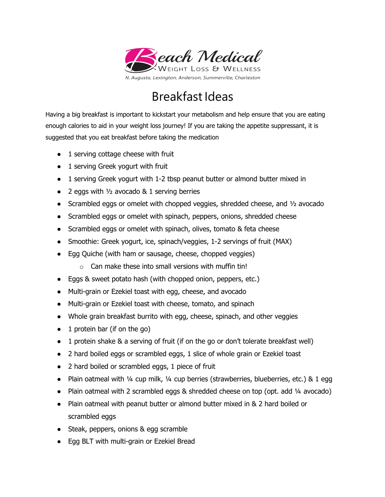

## Breakfast Ideas

Having a big breakfast is important to kickstart your metabolism and help ensure that you are eating enough calories to aid in your weight loss journey! If you are taking the appetite suppressant, it is suggested that you eat breakfast before taking the medication

- 1 serving cottage cheese with fruit
- 1 serving Greek yogurt with fruit
- 1 serving Greek yogurt with 1-2 tbsp peanut butter or almond butter mixed in
- 2 eggs with  $\frac{1}{2}$  avocado & 1 serving berries
- Scrambled eggs or omelet with chopped veggies, shredded cheese, and  $\frac{1}{2}$  avocado
- Scrambled eggs or omelet with spinach, peppers, onions, shredded cheese
- Scrambled eggs or omelet with spinach, olives, tomato & feta cheese
- Smoothie: Greek yogurt, ice, spinach/veggies, 1-2 servings of fruit (MAX)
- Egg Quiche (with ham or sausage, cheese, chopped veggies)
	- o Can make these into small versions with muffin tin!
- Eggs & sweet potato hash (with chopped onion, peppers, etc.)
- Multi-grain or Ezekiel toast with egg, cheese, and avocado
- Multi-grain or Ezekiel toast with cheese, tomato, and spinach
- Whole grain breakfast burrito with egg, cheese, spinach, and other veggies
- 1 protein bar (if on the go)
- 1 protein shake & a serving of fruit (if on the go or don't tolerate breakfast well)
- 2 hard boiled eggs or scrambled eggs, 1 slice of whole grain or Ezekiel toast
- 2 hard boiled or scrambled eggs, 1 piece of fruit
- Plain oatmeal with  $\frac{1}{4}$  cup milk,  $\frac{1}{4}$  cup berries (strawberries, blueberries, etc.) & 1 egg
- Plain oatmeal with 2 scrambled eggs & shredded cheese on top (opt. add ¼ avocado)
- Plain oatmeal with peanut butter or almond butter mixed in & 2 hard boiled or scrambled eggs
- Steak, peppers, onions & egg scramble
- Egg BLT with multi-grain or Ezekiel Bread